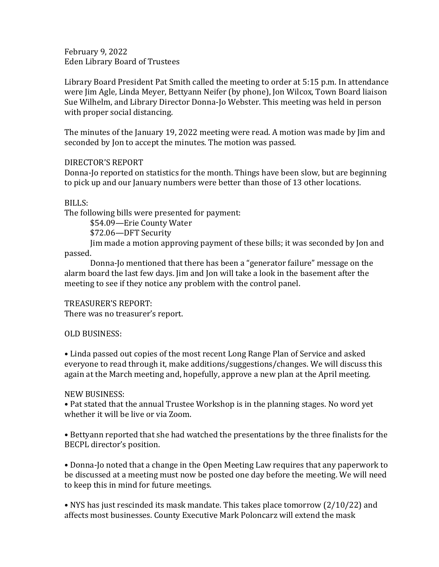February 9, 2022 Eden Library Board of Trustees

Library Board President Pat Smith called the meeting to order at 5:15 p.m. In attendance were Jim Agle, Linda Meyer, Bettyann Neifer (by phone), Jon Wilcox, Town Board liaison Sue Wilhelm, and Library Director Donna-Jo Webster. This meeting was held in person with proper social distancing.

The minutes of the January 19, 2022 meeting were read. A motion was made by Jim and seconded by Jon to accept the minutes. The motion was passed.

## DIRECTOR'S REPORT

Donna-Jo reported on statistics for the month. Things have been slow, but are beginning to pick up and our January numbers were better than those of 13 other locations.

BILLS:

The following bills were presented for payment:

\$54.09—Erie County Water

\$72.06—DFT Security

Jim made a motion approving payment of these bills; it was seconded by Jon and passed.

Donna-Jo mentioned that there has been a "generator failure" message on the alarm board the last few days. Jim and Jon will take a look in the basement after the meeting to see if they notice any problem with the control panel.

## TREASURER'S REPORT:

There was no treasurer's report.

## OLD BUSINESS:

• Linda passed out copies of the most recent Long Range Plan of Service and asked everyone to read through it, make additions/suggestions/changes. We will discuss this again at the March meeting and, hopefully, approve a new plan at the April meeting.

## NEW BUSINESS:

• Pat stated that the annual Trustee Workshop is in the planning stages. No word yet whether it will be live or via Zoom.

• Bettyann reported that she had watched the presentations by the three finalists for the BECPL director's position.

• Donna-Jo noted that a change in the Open Meeting Law requires that any paperwork to be discussed at a meeting must now be posted one day before the meeting. We will need to keep this in mind for future meetings.

• NYS has just rescinded its mask mandate. This takes place tomorrow (2/10/22) and affects most businesses. County Executive Mark Poloncarz will extend the mask